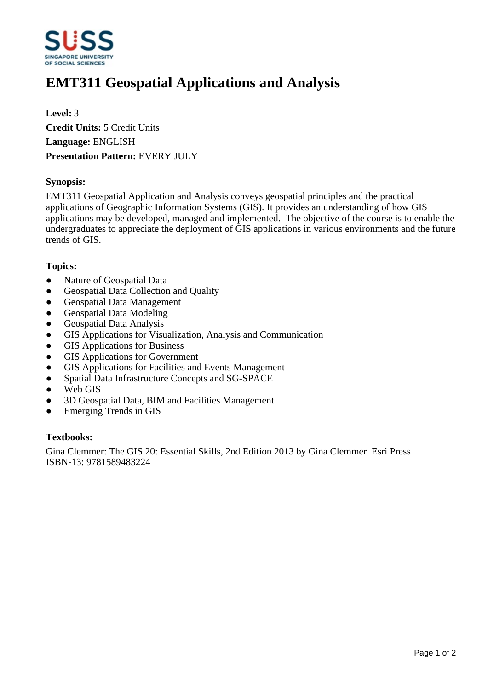

# **EMT311 Geospatial Applications and Analysis**

**Level:** 3 **Credit Units:** 5 Credit Units **Language:** ENGLISH **Presentation Pattern:** EVERY JULY

# **Synopsis:**

EMT311 Geospatial Application and Analysis conveys geospatial principles and the practical applications of Geographic Information Systems (GIS). It provides an understanding of how GIS applications may be developed, managed and implemented. The objective of the course is to enable the undergraduates to appreciate the deployment of GIS applications in various environments and the future trends of GIS.

# **Topics:**

- Nature of Geospatial Data
- Geospatial Data Collection and Quality
- Geospatial Data Management
- Geospatial Data Modeling
- ƔGeospatial Data Analysis
- GIS Applications for Visualization, Analysis and Communication
- GIS Applications for Business
- GIS Applications for Government
- GIS Applications for Facilities and Events Management
- Spatial Data Infrastructure Concepts and SG-SPACE
- Web GIS
- Ɣ3D Geospatial Data, BIM and Facilities Management
- Emerging Trends in GIS

#### **Textbooks:**

Gina Clemmer: The GIS 20: Essential Skills, 2nd Edition 2013 by Gina Clemmer Esri Press ISBN-13: 9781589483224